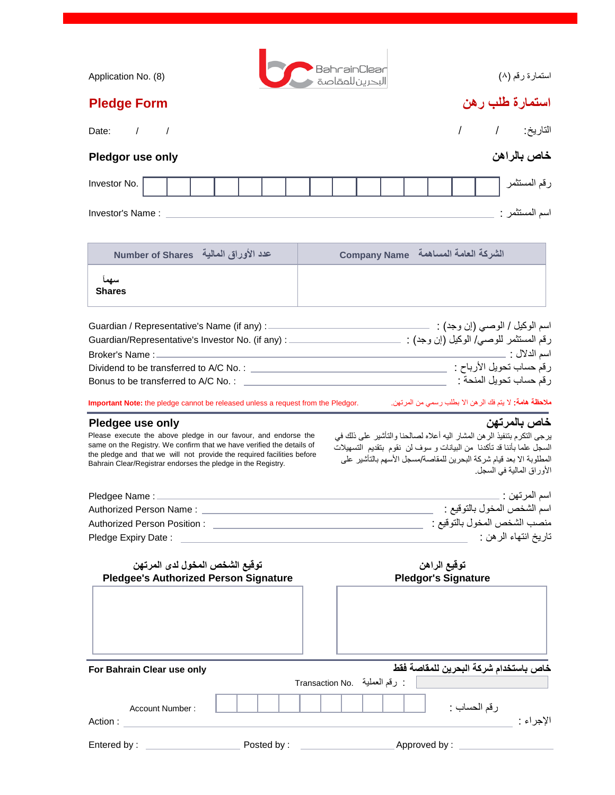| BahrainClear<br>البحرين للمقاصة<br>استمارة رقم (٨)<br>Application No. (8)                                                                                                                                                                                                                                                                                                                                                                                                                                                                                                     |  |
|-------------------------------------------------------------------------------------------------------------------------------------------------------------------------------------------------------------------------------------------------------------------------------------------------------------------------------------------------------------------------------------------------------------------------------------------------------------------------------------------------------------------------------------------------------------------------------|--|
| استمار ة طلب ر هن<br><b>Pledge Form</b>                                                                                                                                                                                                                                                                                                                                                                                                                                                                                                                                       |  |
| التاريخ: /<br>$\prime$<br>$\sqrt{1}$<br>Date:                                                                                                                                                                                                                                                                                                                                                                                                                                                                                                                                 |  |
| خاص بالراهن<br>Pledgor use only                                                                                                                                                                                                                                                                                                                                                                                                                                                                                                                                               |  |
| رقم المستثمر<br>Investor No.                                                                                                                                                                                                                                                                                                                                                                                                                                                                                                                                                  |  |
| اسم المستثمر :<br>Investor's Name:                                                                                                                                                                                                                                                                                                                                                                                                                                                                                                                                            |  |
|                                                                                                                                                                                                                                                                                                                                                                                                                                                                                                                                                                               |  |
| الشركة العامة المساهمة Company Name<br>عدد الأوراق المالية - Number of Shares                                                                                                                                                                                                                                                                                                                                                                                                                                                                                                 |  |
| <b>Shares</b>                                                                                                                                                                                                                                                                                                                                                                                                                                                                                                                                                                 |  |
|                                                                                                                                                                                                                                                                                                                                                                                                                                                                                                                                                                               |  |
| رقم المستثمر للوصبي/ الوكيل (إن وجد) : Guardian/Representative's Investor No. (if any)                                                                                                                                                                                                                                                                                                                                                                                                                                                                                        |  |
|                                                                                                                                                                                                                                                                                                                                                                                                                                                                                                                                                                               |  |
|                                                                                                                                                                                                                                                                                                                                                                                                                                                                                                                                                                               |  |
|                                                                                                                                                                                                                                                                                                                                                                                                                                                                                                                                                                               |  |
| <b>ملاحظة هامة:</b> لا يتم فك الر هن الا بطلب رسمي من المرتهن.<br>Important Note: the pledge cannot be released unless a request from the Pledgor.                                                                                                                                                                                                                                                                                                                                                                                                                            |  |
| خاص بالمرتهن<br>Pledgee use only<br>يرجى التكرم بتنفيذ الرهن المشار اليه أعلاه لصالحنا والتأشير على ذلك في<br>Please execute the above pledge in our favour, and endorse the<br>same on the Registry. We confirm that we have verified the details of<br>السجل علما بأننا قد تأكدنا من البيانات و سوف لن نقوم بتقديم التسهيلات<br>the pledge and that we will not provide the required facilities before<br>المطلوبة الا بعد قيام شركة البحرين للمقاصة/مسجل الأسهم بالتأشير على<br>Bahrain Clear/Registrar endorses the pledge in the Registry.<br>الأور اق المالية في السجل. |  |
| اسم المرتهن :                                                                                                                                                                                                                                                                                                                                                                                                                                                                                                                                                                 |  |
| اسم الشخص المخول بالتوقيع :                                                                                                                                                                                                                                                                                                                                                                                                                                                                                                                                                   |  |
| منصب الشخص المخول بالنوقيع :<br>Authorized Person Position: <u>Authorized</u> Business Authorized Person Position:                                                                                                                                                                                                                                                                                                                                                                                                                                                            |  |
| تاريخ انتهاء الر هن :<br>Pledge Expiry Date:                                                                                                                                                                                                                                                                                                                                                                                                                                                                                                                                  |  |
| توقيع الشخص المخول لدى المرتهن<br>توقيع الراهن<br><b>Pledgee's Authorized Person Signature</b><br><b>Pledgor's Signature</b>                                                                                                                                                                                                                                                                                                                                                                                                                                                  |  |

| For Bahrain Clear use only        |            | : رقم العملية . Transaction No | خاص باستخدام شركة البحرين للمقاصة فقط |           |
|-----------------------------------|------------|--------------------------------|---------------------------------------|-----------|
| <b>Account Number:</b><br>Action: |            |                                | رقم الحساب :                          | الإجراء : |
| Entered by:                       | Posted by: |                                | Approved by:                          |           |